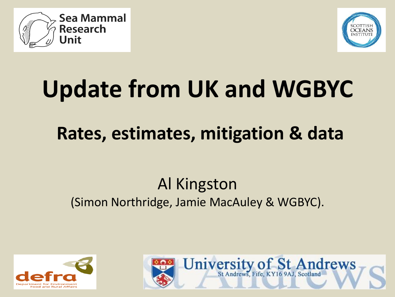



# **Update from UK and WGBYC**

# **Rates, estimates, mitigation & data**

# Al Kingston (Simon Northridge, Jamie MacAuley & WGBYC).



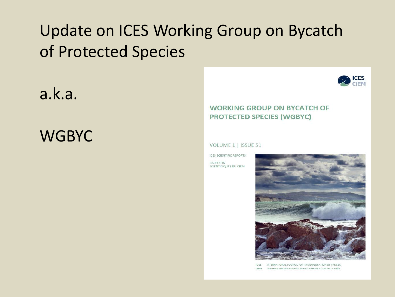# Update on ICES Working Group on Bycatch of Protected Species

a.k.a.

**WGBYC** 



#### **WORKING GROUP ON BYCATCH OF PROTECTED SPECIES (WGBYC)**

#### VOLUME 1 | ISSUE 51

**ICES SCIENTIFIC REPORTS** RAPPORTS SCIENTIFIQUES DU CIEM



 $ICFS$ INTERNATIONAL COUNCILEOR THE EXPLORATION OF THE SEA COUNSEIL INTERNATIONAL POUR L'EXPLORATION DE LA MER **CIFM**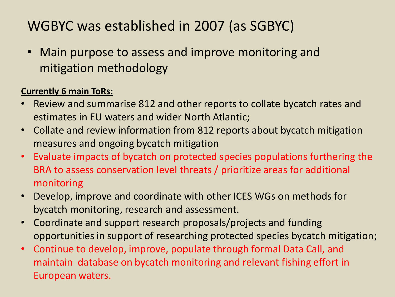## WGBYC was established in 2007 (as SGBYC)

• Main purpose to assess and improve monitoring and mitigation methodology

#### **Currently 6 main ToRs:**

- Review and summarise 812 and other reports to collate bycatch rates and estimates in EU waters and wider North Atlantic;
- Collate and review information from 812 reports about bycatch mitigation measures and ongoing bycatch mitigation
- Evaluate impacts of bycatch on protected species populations furthering the BRA to assess conservation level threats / prioritize areas for additional monitoring
- Develop, improve and coordinate with other ICES WGs on methods for bycatch monitoring, research and assessment.
- Coordinate and support research proposals/projects and funding opportunities in support of researching protected species bycatch mitigation;
- Continue to develop, improve, populate through formal Data Call, and maintain database on bycatch monitoring and relevant fishing effort in European waters.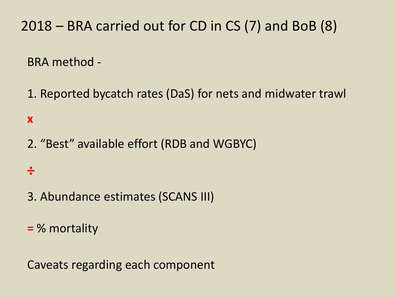2018 – BRA carried out for CD in CS (7) and BoB (8)

BRA method -

1. Reported bycatch rates (DaS) for nets and midwater trawl

**x**

2. "Best" available effort (RDB and WGBYC)

**÷**

3. Abundance estimates (SCANS III)

**=** % mortality

Caveats regarding each component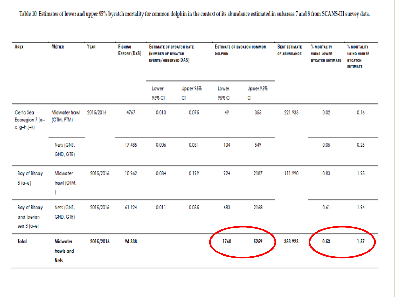Table 10. Estimates of lower and upper 95% bycatch mortality for common dolphin in the context of its abundance estimated in subareas 7 and 8 from SCANS-III survey data.

| AREA                                                 | <b>MÉTIER</b>                         | <b>YEAR</b> | <b><i><u>FISHING</u></i></b><br>EFFORT (DAS) | <b>ESTIMATE OF BYCATCH RATE</b><br>(NUMBER OF BYCATCH<br>EVENTS/OBSERVED DAS) |                 | <b>ESTIMATE OF BYCATCH COMMON</b><br><b>DOLPHIN</b> |                 | <b>BEST ESTIMATE</b><br>OF ABUNDANCE | % MORTALITY<br><b>USING LOWER</b><br><b>BYCATCH ESTIMATE</b> | % MORTALITY<br><b>USING HIGHER</b><br><b>BYCATCH</b><br><b>ESTIMATE</b> |
|------------------------------------------------------|---------------------------------------|-------------|----------------------------------------------|-------------------------------------------------------------------------------|-----------------|-----------------------------------------------------|-----------------|--------------------------------------|--------------------------------------------------------------|-------------------------------------------------------------------------|
|                                                      |                                       |             |                                              | Lower<br>95% CI                                                               | Upper 95%<br>CI | Lower<br>95% CI                                     | Upper 95%<br>CI |                                      |                                                              |                                                                         |
| Celtic Sea<br>Ecoregion 7 (a-<br>c, g-h, j-k)        | Midwater trawl<br>(OTM, PTM)          | 2015/2016   | 4767                                         | 0.010                                                                         | 0.075           | 49                                                  | 355             | 221 933                              | 0.02                                                         | 0.16                                                                    |
|                                                      | Nets (GNS,<br>GND, GTR)               |             | 17485                                        | 0.006                                                                         | 0.031           | 104                                                 | 549             |                                      | 0.05                                                         | 0.25                                                                    |
| <b>Bay of Biscay</b><br>$8(a-e)$                     | Midwater<br>trawl (OTM,               | 2015/2016   | 10962                                        | 0.084                                                                         | 0.199           | 924                                                 | 2187            | 111990                               | 0.83                                                         | 1.95                                                                    |
| <b>Bay of Biscay</b><br>and Iberian<br>sea 8 $(a-e)$ | Nets (GNS,<br>GND, GTR)               | 2015/2016   | 61 124                                       | 0.011                                                                         | 0.035           | 683                                                 | 2168            |                                      | 0.61                                                         | 1.94                                                                    |
| Total                                                | Midwater<br>trawls and<br><b>Nets</b> | 2015/2016   | 94 338                                       |                                                                               |                 | 1760                                                | 5259            | 333 923                              | 0.53                                                         | 1.57                                                                    |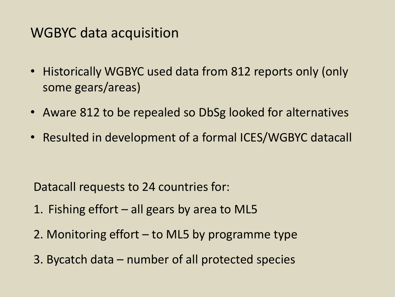### WGBYC data acquisition

- Historically WGBYC used data from 812 reports only (only some gears/areas)
- Aware 812 to be repealed so DbSg looked for alternatives
- Resulted in development of a formal ICES/WGBYC datacall

Datacall requests to 24 countries for:

- 1. Fishing effort all gears by area to ML5
- 2. Monitoring effort to ML5 by programme type
- 3. Bycatch data number of all protected species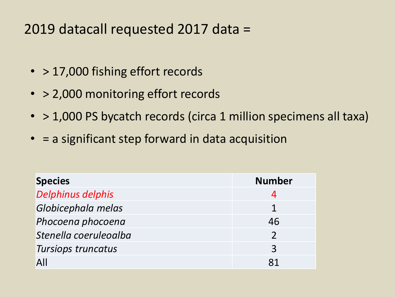## 2019 datacall requested 2017 data =

- > 17,000 fishing effort records
- > 2,000 monitoring effort records
- > 1,000 PS bycatch records (circa 1 million specimens all taxa)
- = a significant step forward in data acquisition

| <b>Species</b>        | <b>Number</b> |
|-----------------------|---------------|
| Delphinus delphis     |               |
| Globicephala melas    |               |
| Phocoena phocoena     | 46            |
| Stenella coeruleoalba |               |
| Tursiops truncatus    | 3             |
| $\overline{A}$        |               |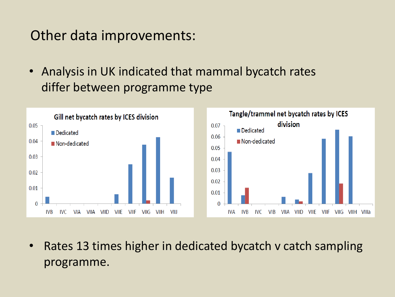### Other data improvements:

• Analysis in UK indicated that mammal bycatch rates differ between programme type



• Rates 13 times higher in dedicated bycatch v catch sampling programme.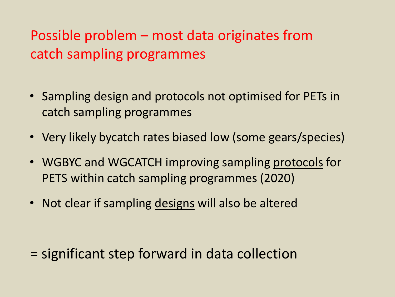# Possible problem – most data originates from catch sampling programmes

- Sampling design and protocols not optimised for PETs in catch sampling programmes
- Very likely bycatch rates biased low (some gears/species)
- WGBYC and WGCATCH improving sampling protocols for PETS within catch sampling programmes (2020)
- Not clear if sampling designs will also be altered

= significant step forward in data collection